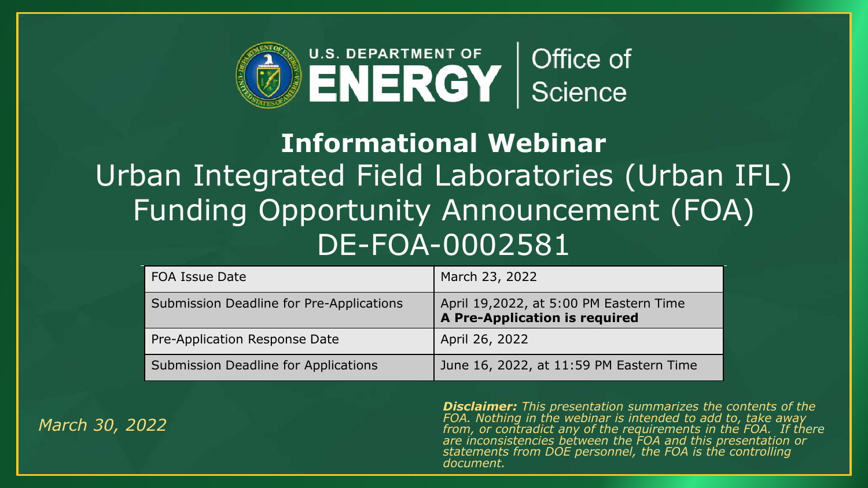

### **Informational Webinar** Urban Integrated Field Laboratories (Urban IFL) Funding Opportunity Announcement (FOA) DE-FOA-0002581

| <b>FOA Issue Date</b>                    | March 23, 2022                                                          |
|------------------------------------------|-------------------------------------------------------------------------|
| Submission Deadline for Pre-Applications | April 19,2022, at 5:00 PM Eastern Time<br>A Pre-Application is required |
| Pre-Application Response Date            | April 26, 2022                                                          |
| Submission Deadline for Applications     | June 16, 2022, at 11:59 PM Eastern Time                                 |

*March 30, 2022*

*Disclaimer: This presentation summarizes the contents of the FOA. Nothing in the webinar is intended to add to, take away from, or contradict any of the requirements in the FOA. If there are inconsistencies between the FOA and this presentation or statements from DOE personnel, the FOA is the controlling document.*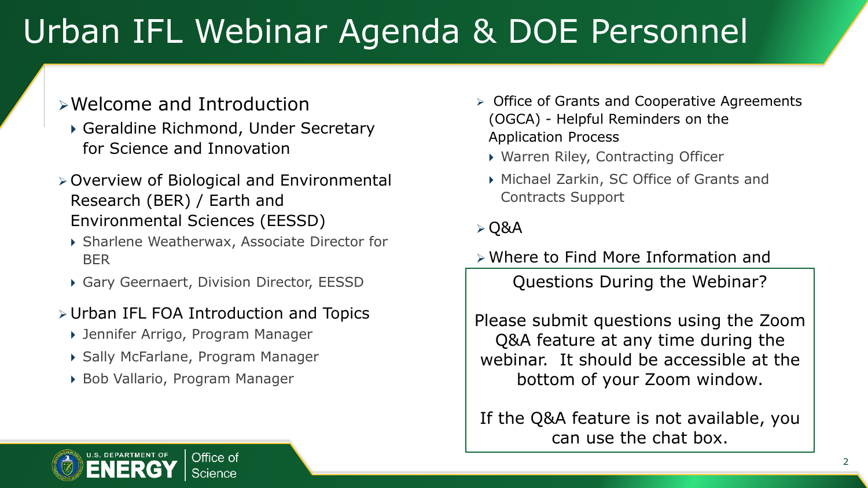## Urban IFL Webinar Agenda & DOE Personnel

### ➢Welcome and Introduction

- Geraldine Richmond, Under Secretary for Science and Innovation
- ➢ Overview of Biological and Environmental Research (BER) / Earth and Environmental Sciences (EESSD)
	- Sharlene Weatherwax, Associate Director for BER
	- Gary Geernaert, Division Director, EESSD
- ➢ Urban IFL FOA Introduction and Topics
	- Jennifer Arrigo, Program Manager
	- Sally McFarlane, Program Manager
	- Bob Vallario, Program Manager
- ➢ Office of Grants and Cooperative Agreements (OGCA) - Helpful Reminders on the Application Process
	- Warren Riley, Contracting Officer
	- Michael Zarkin, SC Office of Grants and Contracts Support

### $\triangleright$  Q&A

➢ Where to Find More Information and

Questions During the Webinar?

Please submit questions using the Zoom Q&A feature at any time during the webinar. It should be accessible at the bottom of your Zoom window.

If the Q&A feature is not available, you can use the chat box.

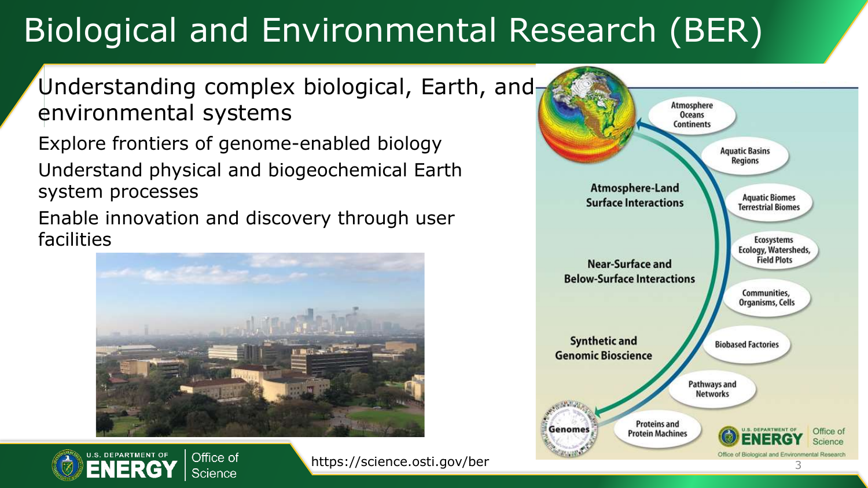## Biological and Environmental Research (BER)

### Understanding complex biological, Earth, and environmental systems

Explore frontiers of genome-enabled biology Understand physical and biogeochemical Earth system processes

Enable innovation and discovery through user facilities





https://science.osti.gov/ber

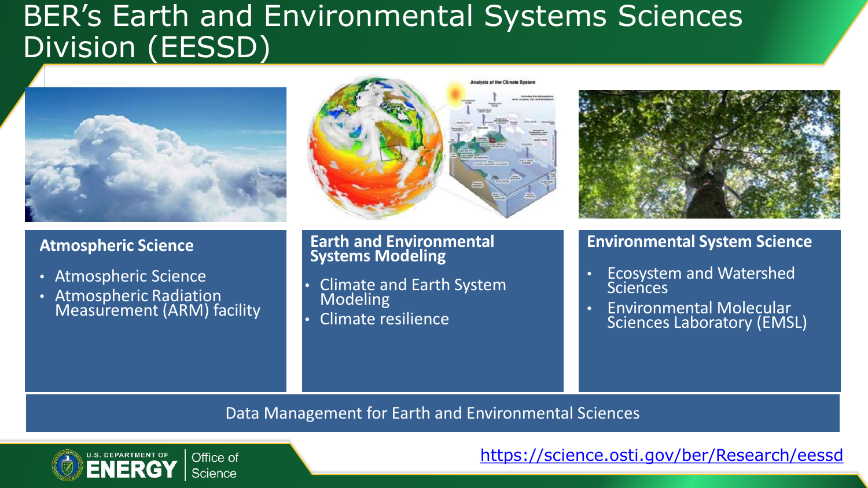### BER's Earth and Environmental Systems Sciences Division (EESSD)



### **Atmospheric Science**

- Atmospheric Science
- Atmospheric Radiation Measurement (ARM) facility



### **Earth and Environmental Systems Modeling**

- Climate and Earth System Modeling
- Climate resilience

### **Environmental System Science**

- Ecosystem and Watershed **Sciences**
- Environmental Molecular Sciences Laboratory (EMSL)

### Data Management for Earth and Environmental Sciences



<https://science.osti.gov/ber/Research/eessd>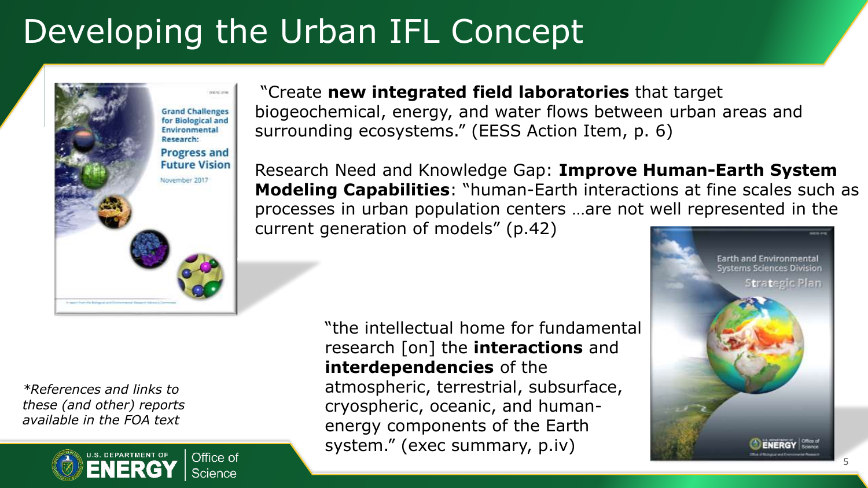## Developing the Urban IFL Concept



*\*References and links to these (and other) reports available in the FOA text*



"Create **new integrated field laboratories** that target biogeochemical, energy, and water flows between urban areas and surrounding ecosystems." (EESS Action Item, p. 6)

Research Need and Knowledge Gap: **Improve Human-Earth System Modeling Capabilities**: "human-Earth interactions at fine scales such as processes in urban population centers …are not well represented in the current generation of models" (p.42)

> "the intellectual home for fundamental research [on] the **interactions** and **interdependencies** of the atmospheric, terrestrial, subsurface, cryospheric, oceanic, and humanenergy components of the Earth system." (exec summary, p.iv)

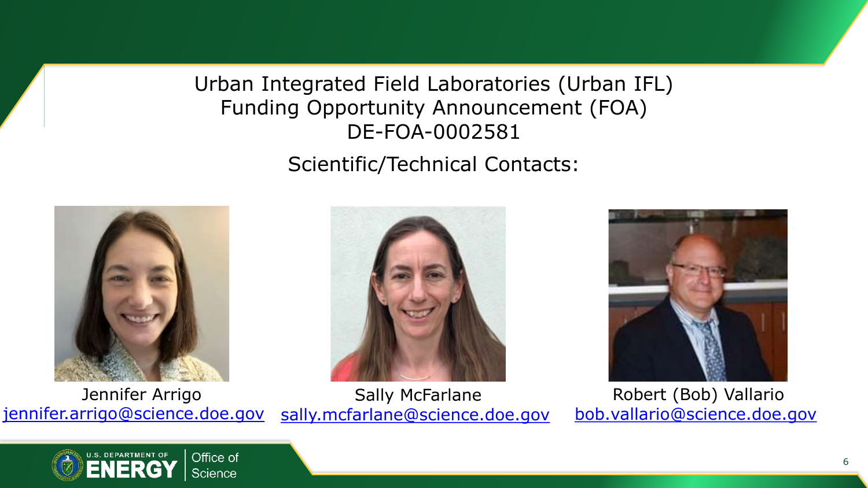Urban Integrated Field Laboratories (Urban IFL) Funding Opportunity Announcement (FOA) DE-FOA-0002581

Scientific/Technical Contacts:







Jennifer Arrigo [jennifer.arrigo@science.doe.gov](mailto:jennifer.arrigo@science.doe.gov) Sally McFarlane [sally.mcfarlane@science.doe.gov](mailto:sally.mcfarlane@science.doe.gov)

Robert (Bob) Vallario [bob.vallario@science.doe.gov](mailto:bob.vallario@science.doe.gov)

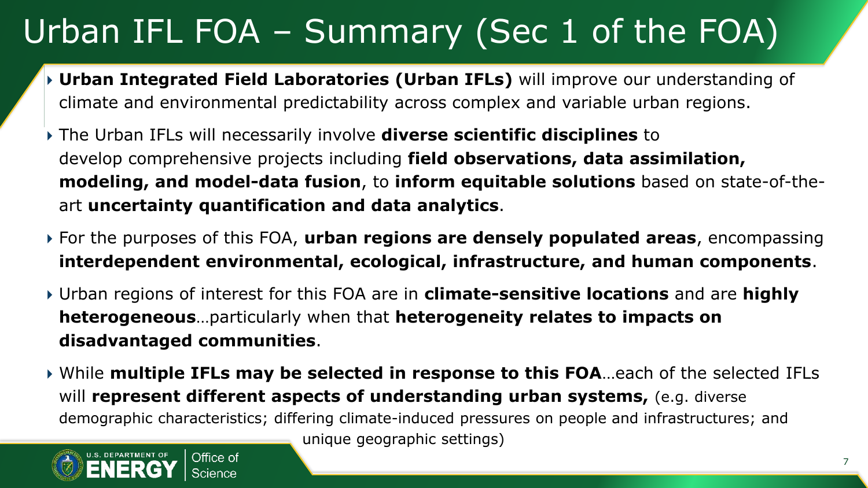## Urban IFL FOA – Summary (Sec 1 of the FOA)

- **Urban Integrated Field Laboratories (Urban IFLs)** will improve our understanding of climate and environmental predictability across complex and variable urban regions.
- The Urban IFLs will necessarily involve **diverse scientific disciplines** to develop comprehensive projects including **field observations, data assimilation, modeling, and model-data fusion**, to **inform equitable solutions** based on state-of-theart **uncertainty quantification and data analytics**.
- For the purposes of this FOA, **urban regions are densely populated areas**, encompassing **interdependent environmental, ecological, infrastructure, and human components**.
- Urban regions of interest for this FOA are in **climate-sensitive locations** and are **highly heterogeneous**…particularly when that **heterogeneity relates to impacts on disadvantaged communities**.
- While **multiple IFLs may be selected in response to this FOA**…each of the selected IFLs will **represent different aspects of understanding urban systems,** (e.g. diverse demographic characteristics; differing climate-induced pressures on people and infrastructures; and



unique geographic settings)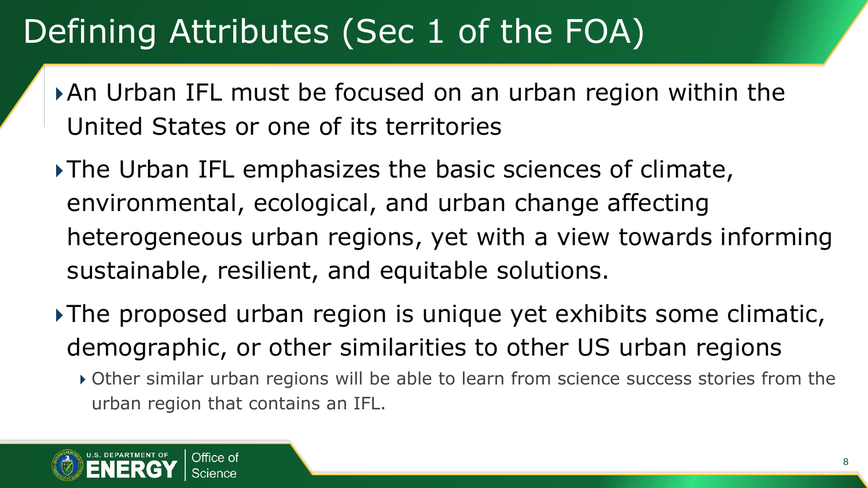## Defining Attributes (Sec 1 of the FOA)

- An Urban IFL must be focused on an urban region within the United States or one of its territories
- The Urban IFL emphasizes the basic sciences of climate, environmental, ecological, and urban change affecting heterogeneous urban regions, yet with a view towards informing sustainable, resilient, and equitable solutions.
- The proposed urban region is unique yet exhibits some climatic, demographic, or other similarities to other US urban regions
	- Other similar urban regions will be able to learn from science success stories from the urban region that contains an IFL.

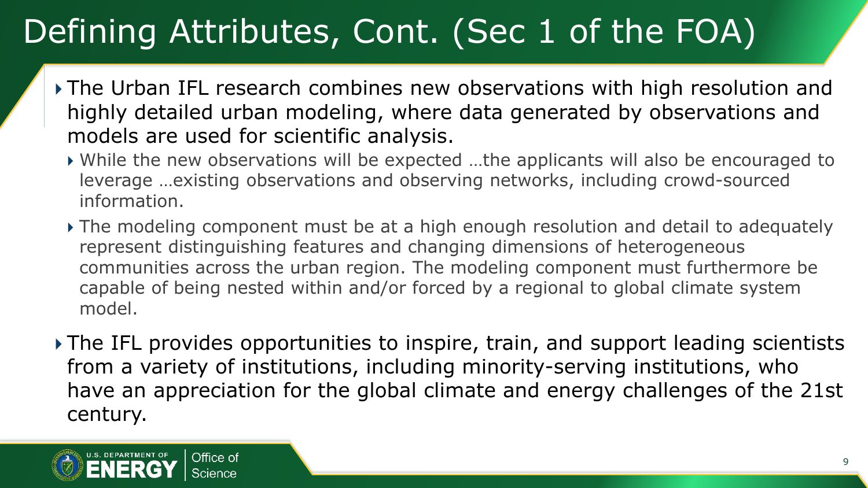## Defining Attributes, Cont. (Sec 1 of the FOA)

- The Urban IFL research combines new observations with high resolution and highly detailed urban modeling, where data generated by observations and models are used for scientific analysis.
	- While the new observations will be expected …the applicants will also be encouraged to leverage …existing observations and observing networks, including crowd-sourced information.
	- The modeling component must be at a high enough resolution and detail to adequately represent distinguishing features and changing dimensions of heterogeneous communities across the urban region. The modeling component must furthermore be capable of being nested within and/or forced by a regional to global climate system model.
- ▶ The IFL provides opportunities to inspire, train, and support leading scientists from a variety of institutions, including minority-serving institutions, who have an appreciation for the global climate and energy challenges of the 21st century.

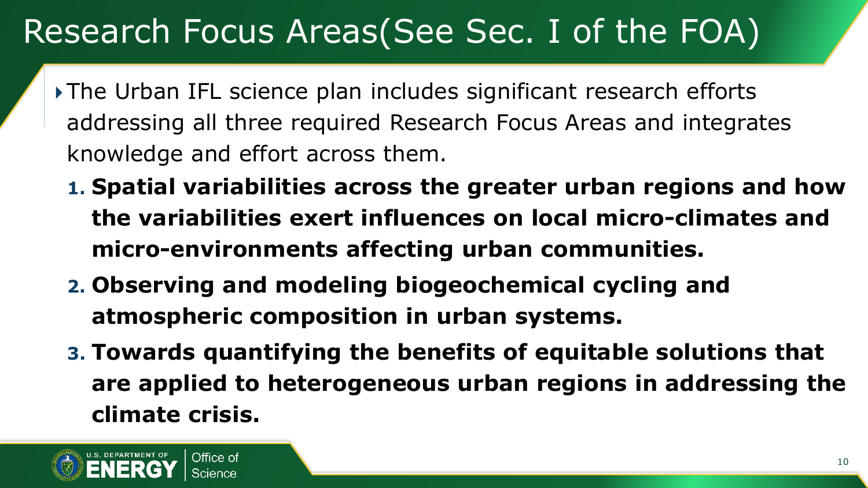### Research Focus Areas(See Sec. I of the FOA)

- The Urban IFL science plan includes significant research efforts addressing all three required Research Focus Areas and integrates knowledge and effort across them.
	- **1. Spatial variabilities across the greater urban regions and how the variabilities exert influences on local micro-climates and micro-environments affecting urban communities.**
	- **2. Observing and modeling biogeochemical cycling and atmospheric composition in urban systems.**
	- **3. Towards quantifying the benefits of equitable solutions that are applied to heterogeneous urban regions in addressing the climate crisis.**

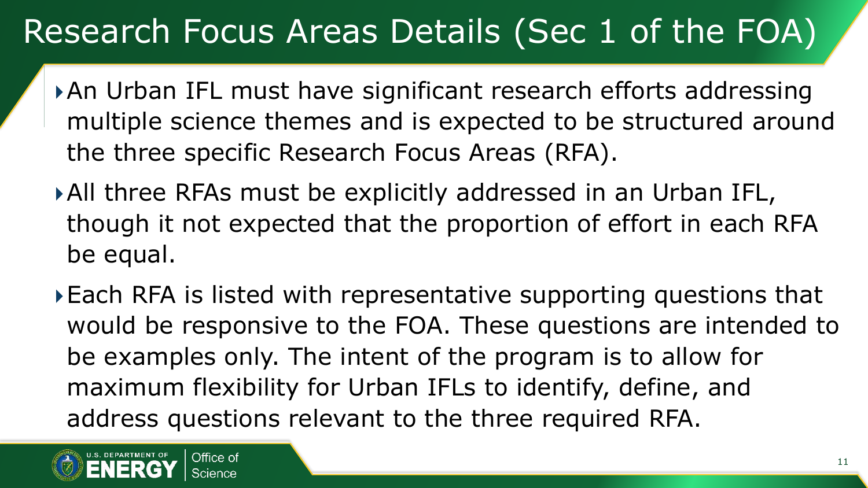### Research Focus Areas Details (Sec 1 of the FOA)

- An Urban IFL must have significant research efforts addressing multiple science themes and is expected to be structured around the three specific Research Focus Areas (RFA).
- All three RFAs must be explicitly addressed in an Urban IFL, though it not expected that the proportion of effort in each RFA be equal.
- Each RFA is listed with representative supporting questions that would be responsive to the FOA. These questions are intended to be examples only. The intent of the program is to allow for maximum flexibility for Urban IFLs to identify, define, and address questions relevant to the three required RFA.

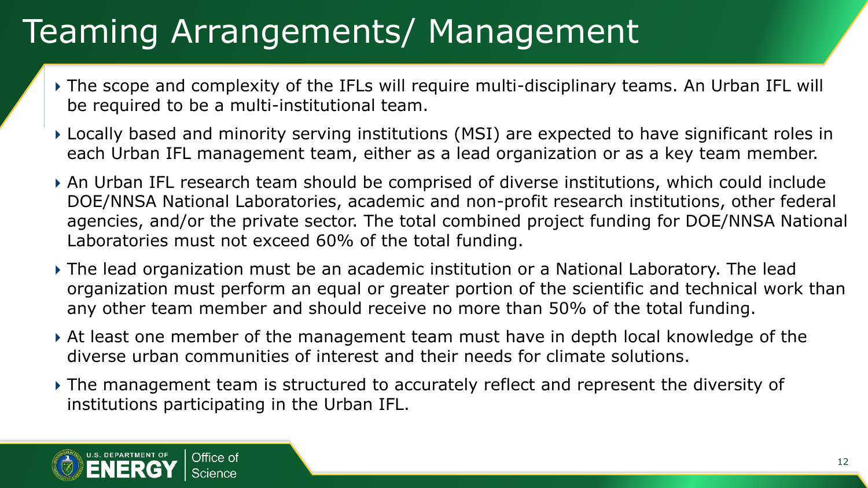## Teaming Arrangements/ Management

- The scope and complexity of the IFLs will require multi-disciplinary teams. An Urban IFL will be required to be a multi-institutional team.
- Locally based and minority serving institutions (MSI) are expected to have significant roles in each Urban IFL management team, either as a lead organization or as a key team member.
- An Urban IFL research team should be comprised of diverse institutions, which could include DOE/NNSA National Laboratories, academic and non-profit research institutions, other federal agencies, and/or the private sector. The total combined project funding for DOE/NNSA National Laboratories must not exceed 60% of the total funding.
- The lead organization must be an academic institution or a National Laboratory. The lead organization must perform an equal or greater portion of the scientific and technical work than any other team member and should receive no more than 50% of the total funding.
- At least one member of the management team must have in depth local knowledge of the diverse urban communities of interest and their needs for climate solutions.
- The management team is structured to accurately reflect and represent the diversity of institutions participating in the Urban IFL.

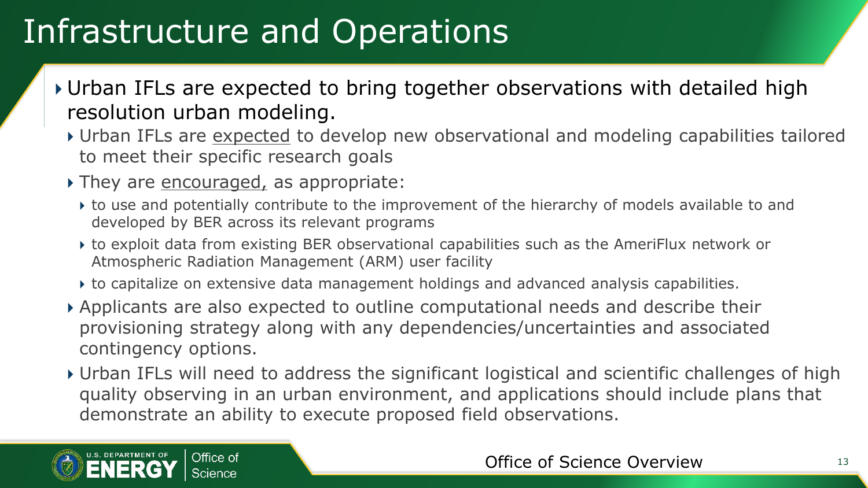## Infrastructure and Operations

- Urban IFLs are expected to bring together observations with detailed high resolution urban modeling.
	- Urban IFLs are expected to develop new observational and modeling capabilities tailored to meet their specific research goals
	- They are encouraged, as appropriate:
		- to use and potentially contribute to the improvement of the hierarchy of models available to and developed by BER across its relevant programs
		- to exploit data from existing BER observational capabilities such as the AmeriFlux network or Atmospheric Radiation Management (ARM) user facility
		- to capitalize on extensive data management holdings and advanced analysis capabilities.
	- Applicants are also expected to outline computational needs and describe their provisioning strategy along with any dependencies/uncertainties and associated contingency options.
	- Urban IFLs will need to address the significant logistical and scientific challenges of high quality observing in an urban environment, and applications should include plans that demonstrate an ability to execute proposed field observations.

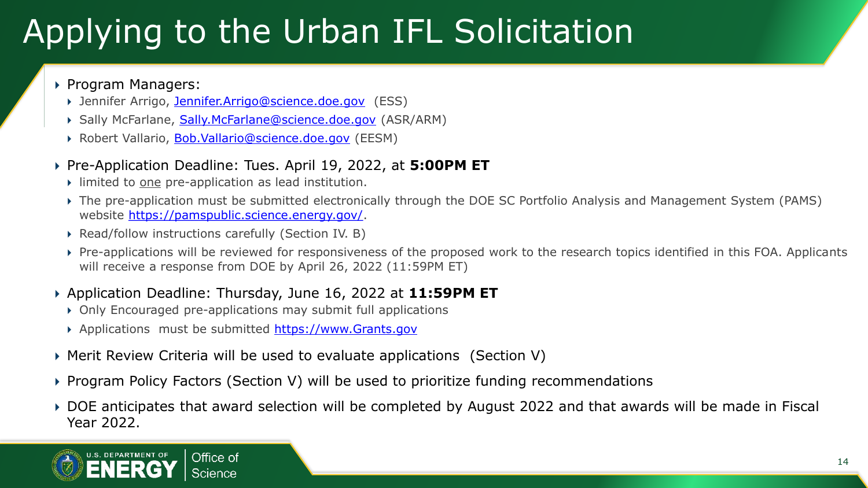## Applying to the Urban IFL Solicitation

### ▶ Program Managers:

- Jennifer Arrigo, [Jennifer.Arrigo@science.doe.gov](mailto:Jennifer.Arrigo@science.doe.gov) (ESS)
- Sally McFarlane, [Sally.McFarlane@science.doe.gov](mailto:Sally.McFarlane@science.doe.gov) (ASR/ARM)
- ▶ Robert Vallario, [Bob.Vallario@science.doe.gov](mailto:Bob.Vallario@science.doe.gov) (EESM)

### ▶ Pre-Application Deadline: Tues. April 19, 2022, at **5:00PM ET**

- limited to one pre-application as lead institution.
- The pre-application must be submitted electronically through the DOE SC Portfolio Analysis and Management System (PAMS) website [https://pamspublic.science.energy.gov/.](https://pamspublic.science.energy.gov/)
- ▶ Read/follow instructions carefully (Section IV. B)
- Pre-applications will be reviewed for responsiveness of the proposed work to the research topics identified in this FOA. Applicants will receive a response from DOE by April 26, 2022 (11:59PM ET)

### Application Deadline: Thursday, June 16, 2022 at **11:59PM ET**

- Only Encouraged pre-applications may submit full applications
- Applications must be submitted [https://www.Grants.gov](https://www.grants.gov/)
- Merit Review Criteria will be used to evaluate applications (Section V)
- Program Policy Factors (Section V) will be used to prioritize funding recommendations
- DOE anticipates that award selection will be completed by August 2022 and that awards will be made in Fiscal Year 2022.

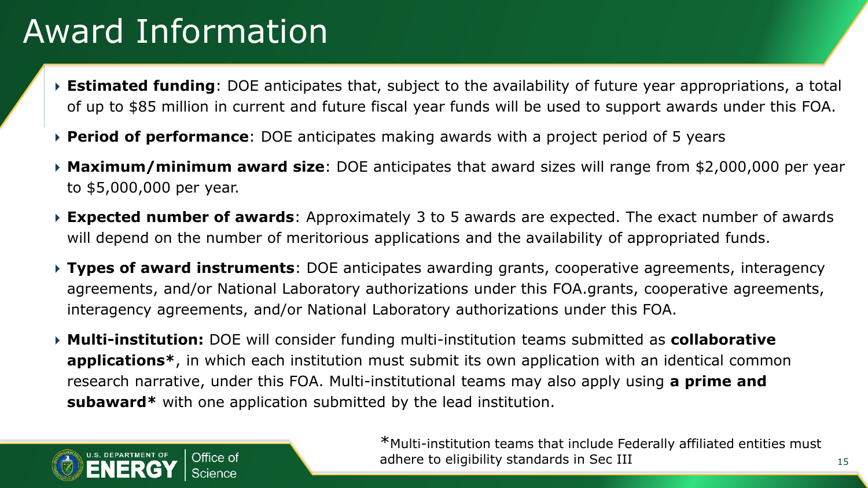### Award Information

- **Estimated funding**: DOE anticipates that, subject to the availability of future year appropriations, a total of up to \$85 million in current and future fiscal year funds will be used to support awards under this FOA.
- **Period of performance**: DOE anticipates making awards with a project period of 5 years
- **Maximum/minimum award size**: DOE anticipates that award sizes will range from \$2,000,000 per year to \$5,000,000 per year.
- **Expected number of awards**: Approximately 3 to 5 awards are expected. The exact number of awards will depend on the number of meritorious applications and the availability of appropriated funds.
- **Types of award instruments**: DOE anticipates awarding grants, cooperative agreements, interagency agreements, and/or National Laboratory authorizations under this FOA.grants, cooperative agreements, interagency agreements, and/or National Laboratory authorizations under this FOA.
- **Multi-institution:** DOE will consider funding multi-institution teams submitted as **collaborative applications\***, in which each institution must submit its own application with an identical common research narrative, under this FOA. Multi-institutional teams may also apply using **a prime and subaward\*** with one application submitted by the lead institution.



\*Multi-institution teams that include Federally affiliated entities must adhere to eligibility standards in Sec III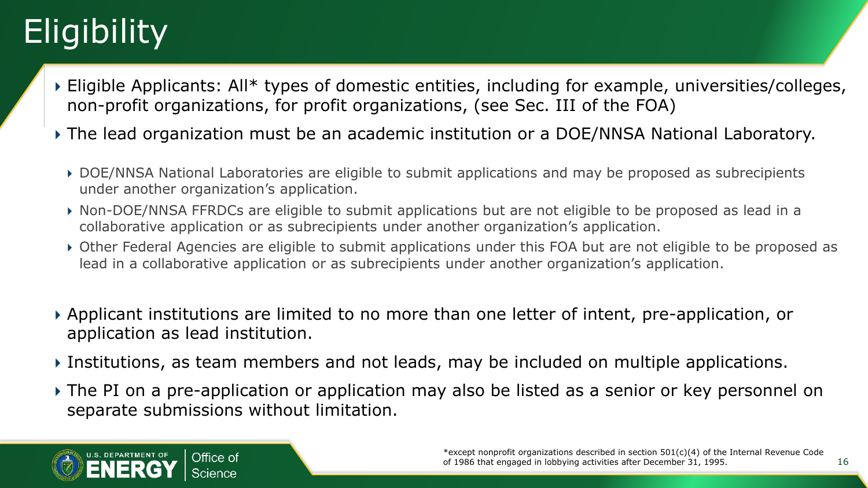# **Eligibility**

- Eligible Applicants: All\* types of domestic entities, including for example, universities/colleges, non-profit organizations, for profit organizations, (see Sec. III of the FOA)
- The lead organization must be an academic institution or a DOE/NNSA National Laboratory.
	- DOE/NNSA National Laboratories are eligible to submit applications and may be proposed as subrecipients under another organization's application.
	- Non-DOE/NNSA FFRDCs are eligible to submit applications but are not eligible to be proposed as lead in a collaborative application or as subrecipients under another organization's application.
	- Other Federal Agencies are eligible to submit applications under this FOA but are not eligible to be proposed as lead in a collaborative application or as subrecipients under another organization's application.
- Applicant institutions are limited to no more than one letter of intent, pre-application, or application as lead institution.
- Institutions, as team members and not leads, may be included on multiple applications.
- The PI on a pre-application or application may also be listed as a senior or key personnel on separate submissions without limitation.



16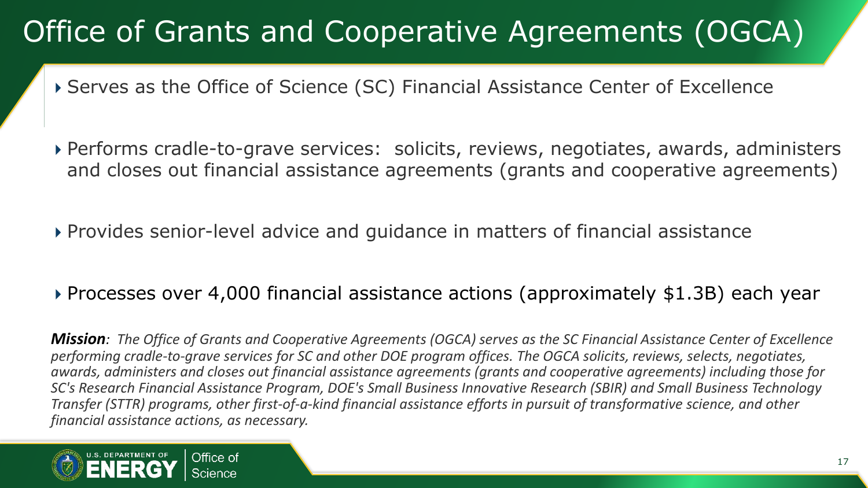### Office of Grants and Cooperative Agreements (OGCA)

- Serves as the Office of Science (SC) Financial Assistance Center of Excellence
- Performs cradle-to-grave services: solicits, reviews, negotiates, awards, administers and closes out financial assistance agreements (grants and cooperative agreements)
- Provides senior-level advice and guidance in matters of financial assistance

### Processes over 4,000 financial assistance actions (approximately \$1.3B) each year

*Mission: The Office of Grants and Cooperative Agreements (OGCA) serves as the SC Financial Assistance Center of Excellence performing cradle-to-grave services for SC and other DOE program offices. The OGCA solicits, reviews, selects, negotiates, awards, administers and closes out financial assistance agreements (grants and cooperative agreements) including those for SC's Research Financial Assistance Program, DOE's Small Business Innovative Research (SBIR) and Small Business Technology Transfer (STTR) programs, other first-of-a-kind financial assistance efforts in pursuit of transformative science, and other financial assistance actions, as necessary.*

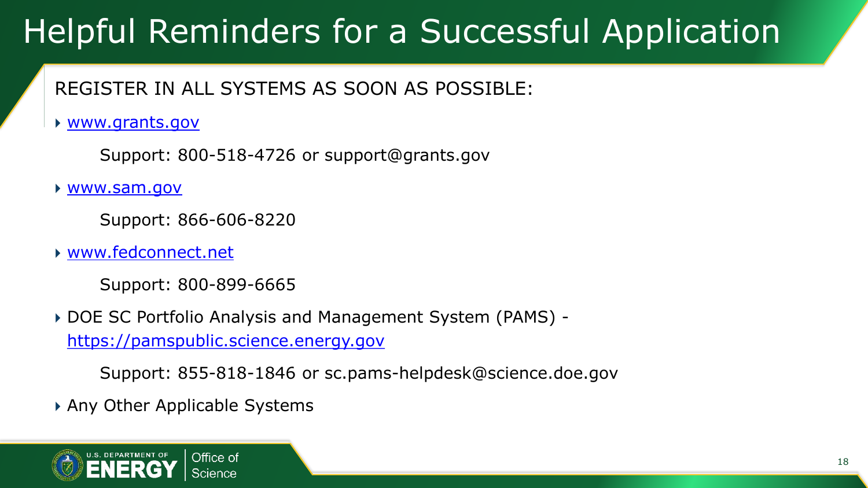### REGISTER IN ALL SYSTEMS AS SOON AS POSSIBLE:

[www.grants.gov](http://www.grants.gov/)

Support: 800-518-4726 or support@grants.gov

[www.sam.gov](http://www.sam.gov/)

Support: 866-606-8220

[www.fedconnect.net](http://www.fedconnect.net/)

Support: 800-899-6665

 DOE SC Portfolio Analysis and Management System (PAMS) [https://pamspublic.science.energy.gov](https://pamspublic.science.energy.gov/)

Support: 855-818-1846 or sc.pams-helpdesk@science.doe.gov

Any Other Applicable Systems

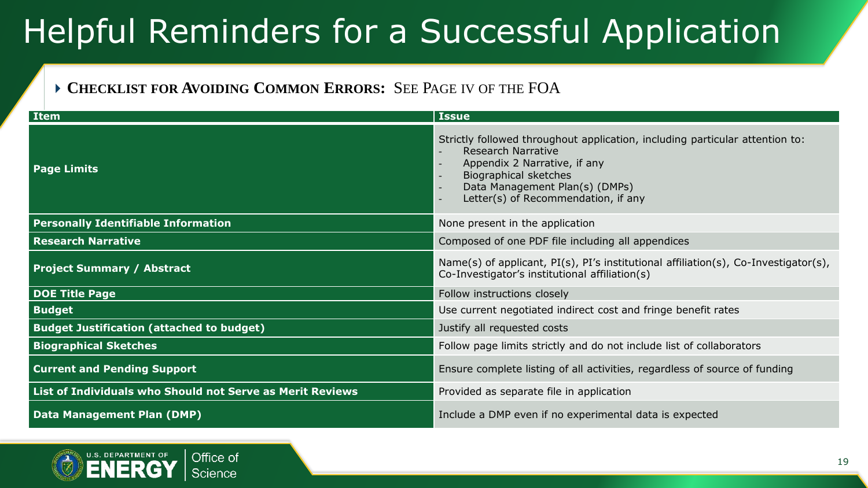### **CHECKLIST FOR AVOIDING COMMON ERRORS:** SEE PAGE IV OF THE FOA

| Item                                                      | <b>Issue</b>                                                                                                                                                                                                                                                            |
|-----------------------------------------------------------|-------------------------------------------------------------------------------------------------------------------------------------------------------------------------------------------------------------------------------------------------------------------------|
| <b>Page Limits</b>                                        | Strictly followed throughout application, including particular attention to:<br><b>Research Narrative</b><br>Appendix 2 Narrative, if any<br>Biographical sketches<br>Data Management Plan(s) (DMPs)<br>Letter(s) of Recommendation, if any<br>$\overline{\phantom{a}}$ |
| <b>Personally Identifiable Information</b>                | None present in the application                                                                                                                                                                                                                                         |
| <b>Research Narrative</b>                                 | Composed of one PDF file including all appendices                                                                                                                                                                                                                       |
| <b>Project Summary / Abstract</b>                         | Name(s) of applicant, $PI(s)$ , $PI's$ institutional affiliation(s), Co-Investigator(s),<br>Co-Investigator's institutional affiliation(s)                                                                                                                              |
| <b>DOE Title Page</b>                                     | Follow instructions closely                                                                                                                                                                                                                                             |
| <b>Budget</b>                                             | Use current negotiated indirect cost and fringe benefit rates                                                                                                                                                                                                           |
| <b>Budget Justification (attached to budget)</b>          | Justify all requested costs                                                                                                                                                                                                                                             |
| <b>Biographical Sketches</b>                              | Follow page limits strictly and do not include list of collaborators                                                                                                                                                                                                    |
| <b>Current and Pending Support</b>                        | Ensure complete listing of all activities, regardless of source of funding                                                                                                                                                                                              |
| List of Individuals who Should not Serve as Merit Reviews | Provided as separate file in application                                                                                                                                                                                                                                |
| <b>Data Management Plan (DMP)</b>                         | Include a DMP even if no experimental data is expected                                                                                                                                                                                                                  |

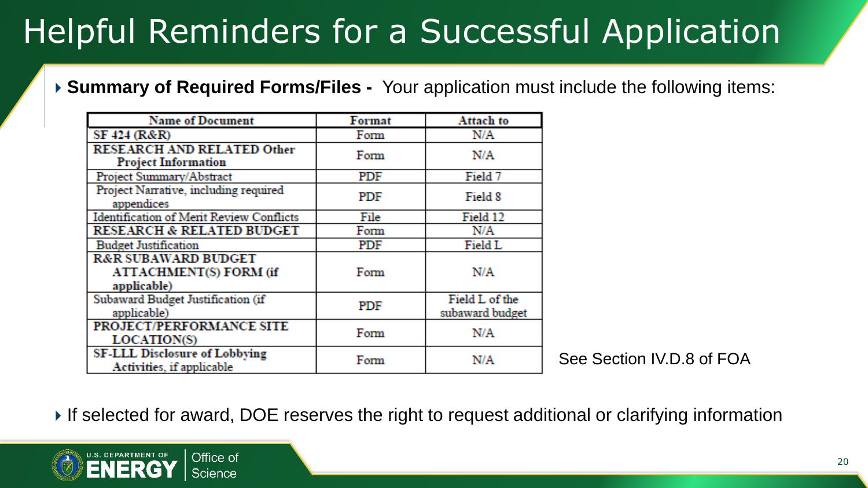### **Summary of Required Forms/Files -** Your application must include the following items:

| <b>Name of Document</b>                                                        | Format     | <b>Attach to</b>                  |
|--------------------------------------------------------------------------------|------------|-----------------------------------|
| SF 424 (R&R)                                                                   | Form       | N/A                               |
| <b>RESEARCH AND RELATED Other</b><br><b>Project Information</b>                | Form       | N/A                               |
| Project Summary/Abstract                                                       | PDF        | Field 7                           |
| Project Narrative, including required<br>appendices                            | PDF        | Field 8                           |
| <b>Identification of Merit Review Conflicts</b>                                | File       | Field 12                          |
| <b>RESEARCH &amp; RELATED BUDGET</b>                                           | Form       | N/A                               |
| <b>Budget Justification</b>                                                    | PDF        | Field L                           |
| <b>R&amp;R SUBAWARD BUDGET</b><br><b>ATTACHMENT(S) FORM (if</b><br>applicable) | Form       | N/A                               |
| Subaward Budget Justification (if<br>applicable)                               | <b>PDF</b> | Field L of the<br>subaward budget |
| PROJECT/PERFORMANCE SITE<br>LOCATION(S)                                        | Form       | N/A                               |
| <b>SF-LLL Disclosure of Lobbying</b><br>Activities, if applicable              | Form       | N/A                               |

See Section IV.D.8 of FOA

If selected for award, DOE reserves the right to request additional or clarifying information

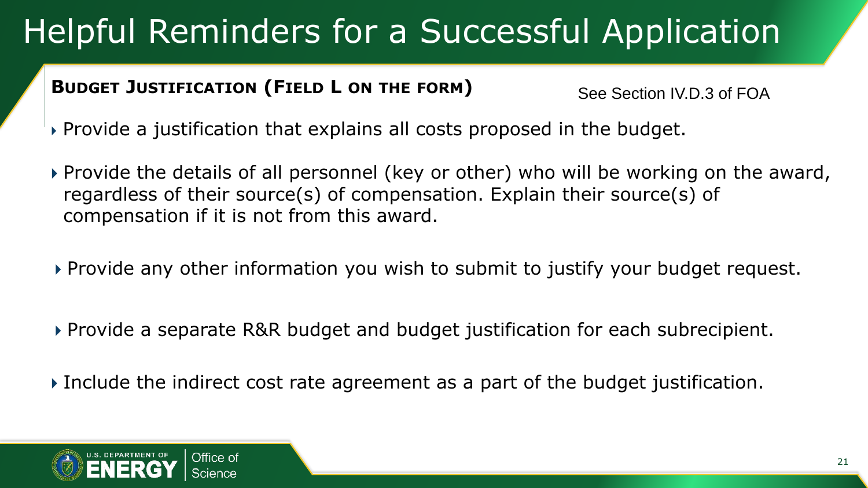### **BUDGET JUSTIFICATION (FIELD L ON THE FORM)**

See Section IV.D.3 of FOA

- Provide a justification that explains all costs proposed in the budget.
- Provide the details of all personnel (key or other) who will be working on the award, regardless of their source(s) of compensation. Explain their source(s) of compensation if it is not from this award.
- Provide any other information you wish to submit to justify your budget request.
- Provide a separate R&R budget and budget justification for each subrecipient.
- Include the indirect cost rate agreement as a part of the budget justification.

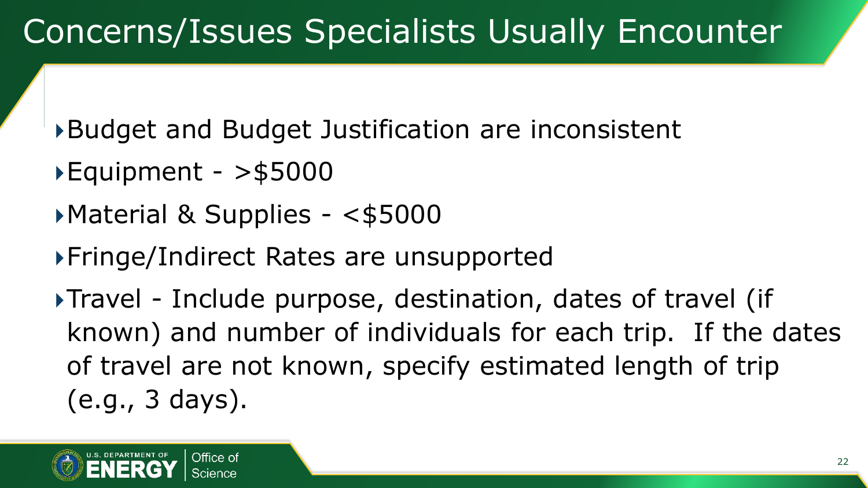Budget and Budget Justification are inconsistent

- $\blacktriangleright$  Equipment  $>$ \$5000
- Material & Supplies <\$5000
- Fringe/Indirect Rates are unsupported

Travel - Include purpose, destination, dates of travel (if known) and number of individuals for each trip. If the dates of travel are not known, specify estimated length of trip (e.g., 3 days).

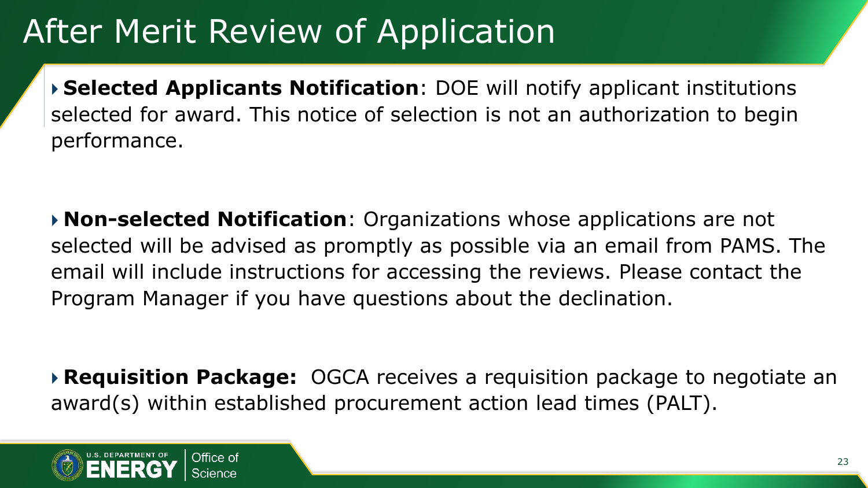## After Merit Review of Application

 **Selected Applicants Notification**: DOE will notify applicant institutions selected for award. This notice of selection is not an authorization to begin performance.

 **Non-selected Notification**: Organizations whose applications are not selected will be advised as promptly as possible via an email from PAMS. The email will include instructions for accessing the reviews. Please contact the Program Manager if you have questions about the declination.

 **Requisition Package:** OGCA receives a requisition package to negotiate an award(s) within established procurement action lead times (PALT).

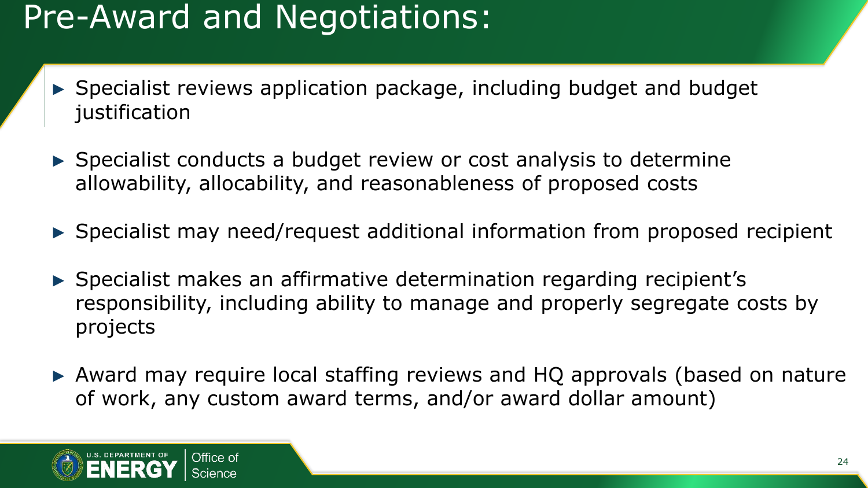### Pre-Award and Negotiations:

- ► Specialist reviews application package, including budget and budget justification
- ► Specialist conducts a budget review or cost analysis to determine allowability, allocability, and reasonableness of proposed costs
- ► Specialist may need/request additional information from proposed recipient
- ► Specialist makes an affirmative determination regarding recipient's responsibility, including ability to manage and properly segregate costs by projects
- ► Award may require local staffing reviews and HQ approvals (based on nature of work, any custom award terms, and/or award dollar amount)

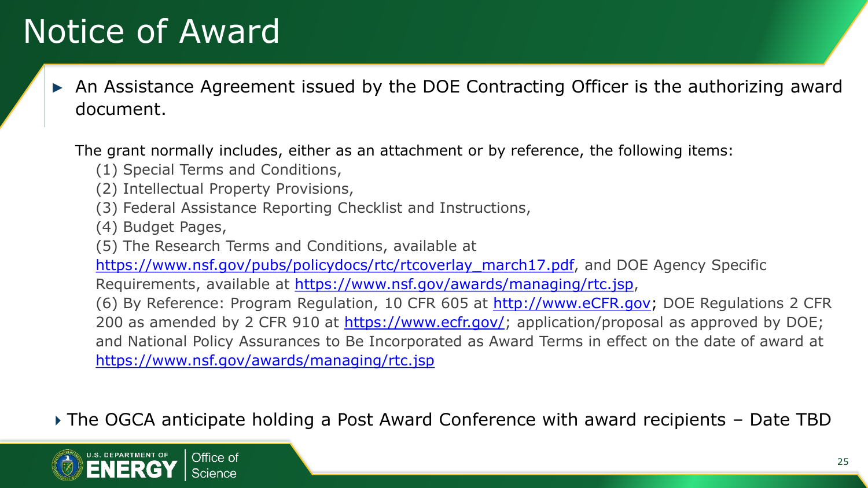### Notice of Award

An Assistance Agreement issued by the DOE Contracting Officer is the authorizing award document.

The grant normally includes, either as an attachment or by reference, the following items:

- (1) Special Terms and Conditions,
- (2) Intellectual Property Provisions,
- (3) Federal Assistance Reporting Checklist and Instructions,
- (4) Budget Pages,
- (5) The Research Terms and Conditions, available at

[https://www.nsf.gov/pubs/policydocs/rtc/rtcoverlay\\_march17.pdf,](https://www.nsf.gov/pubs/policydocs/rtc/rtcoverlay_march17.pdf) and DOE Agency Specific

Requirements, available at [https://www.nsf.gov/awards/managing/rtc.jsp,](https://www.nsf.gov/awards/managing/rtc.jsp)

(6) By Reference: Program Regulation, 10 CFR 605 at [http://www.eCFR.gov](http://www.ecfr.gov/); DOE Regulations 2 CFR 200 as amended by 2 CFR 910 at <https://www.ecfr.gov/>; application/proposal as approved by DOE; and National Policy Assurances to Be Incorporated as Award Terms in effect on the date of award at <https://www.nsf.gov/awards/managing/rtc.jsp>

The OGCA anticipate holding a Post Award Conference with award recipients – Date TBD

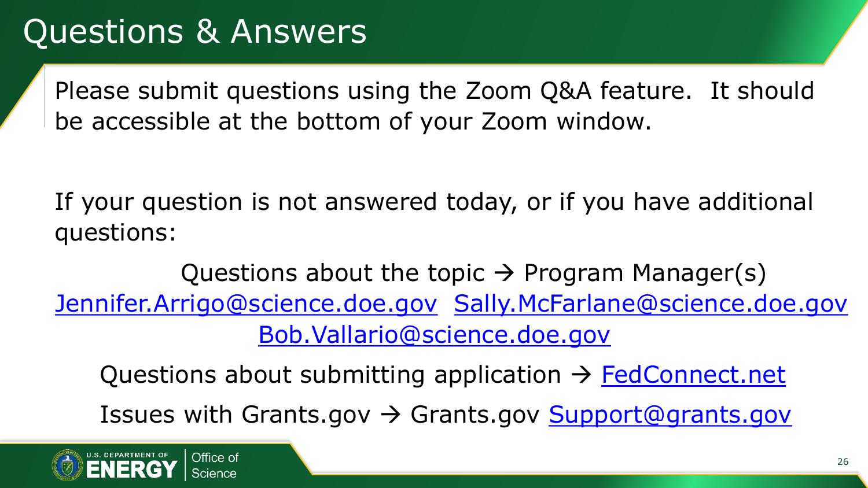Please submit questions using the Zoom Q&A feature. It should be accessible at the bottom of your Zoom window.

If your question is not answered today, or if you have additional questions:

Questions about the topic  $\rightarrow$  Program Manager(s) [Jennifer.Arrigo@science.doe.gov](mailto:Jennifer.Arrigo@science.doe.gov) [Sally.McFarlane@science.doe.gov](mailto:Sally.McFarlane@science.doe.gov)

[Bob.Vallario@science.doe.gov](mailto:Bob.Vallario@science.doe.gov)

Questions about submitting application  $\rightarrow$  [FedConnect.net](http://www.fedconnect.net/)

Issues with Grants.gov → Grants.gov [Support@grants.gov](mailto:Support@grants.gov)

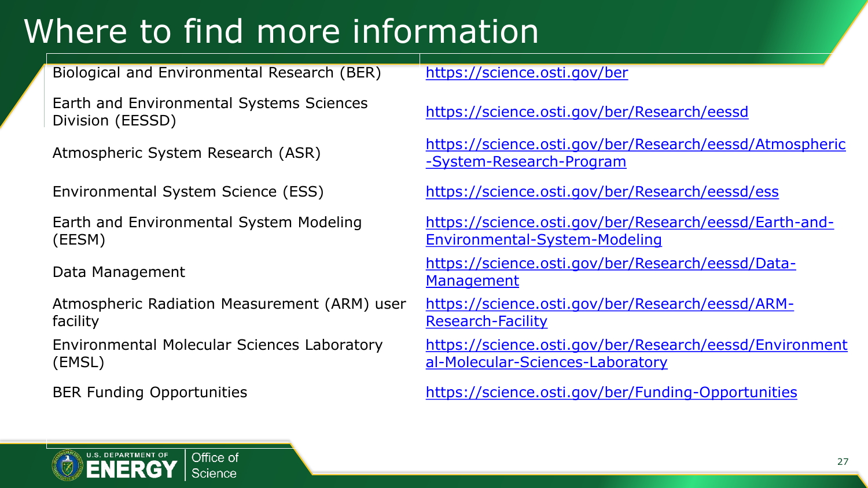## Where to find more information

Biological and Environmental Research (BER) <https://science.osti.gov/ber>

Earth and Environmental Systems Sciences Division (EESSD) Division (EESSD) <https://science.osti.gov/ber/Research/eessd>

Earth and Environmental System Modeling (EESM)

Atmospheric Radiation Measurement (ARM) user facility

Environmental Molecular Sciences Laboratory (EMSL)

Atmospheric System Research (ASR) [https://science.osti.gov/ber/Research/eessd/Atmospheric](https://science.osti.gov/ber/Research/eessd/Atmospheric-System-Research-Program) -System-Research-Program

Environmental System Science (ESS) <https://science.osti.gov/ber/Research/eessd/ess>

[https://science.osti.gov/ber/Research/eessd/Earth-and-](https://science.osti.gov/ber/Research/eessd/Earth-and-Environmental-System-Modeling)Environmental-System-Modeling

Data Management [https://science.osti.gov/ber/Research/eessd/Data-](https://science.osti.gov/ber/Research/eessd/Data-Management)**Management** 

> [https://science.osti.gov/ber/Research/eessd/ARM-](https://science.osti.gov/ber/Research/eessd/ARM-Research-Facility)Research-Facility

[https://science.osti.gov/ber/Research/eessd/Environment](https://science.osti.gov/ber/Research/eessd/Environmental-Molecular-Sciences-Laboratory) al-Molecular-Sciences-Laboratory

BER Funding Opportunities <https://science.osti.gov/ber/Funding-Opportunities>

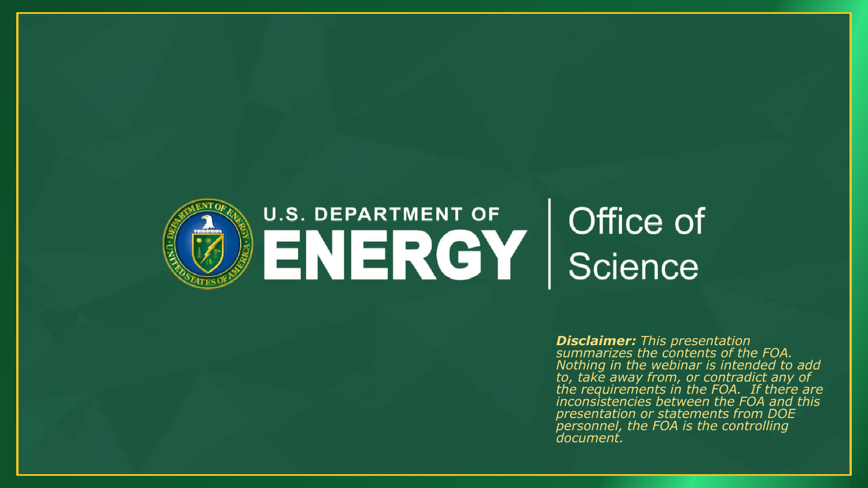

*Disclaimer: This presentation summarizes the contents of the FOA. Nothing in the webinar is intended to add to, take away from, or contradict any of the requirements in the FOA. If there are inconsistencies between the FOA and this presentation or statements from DOE personnel, the FOA is the controlling document.*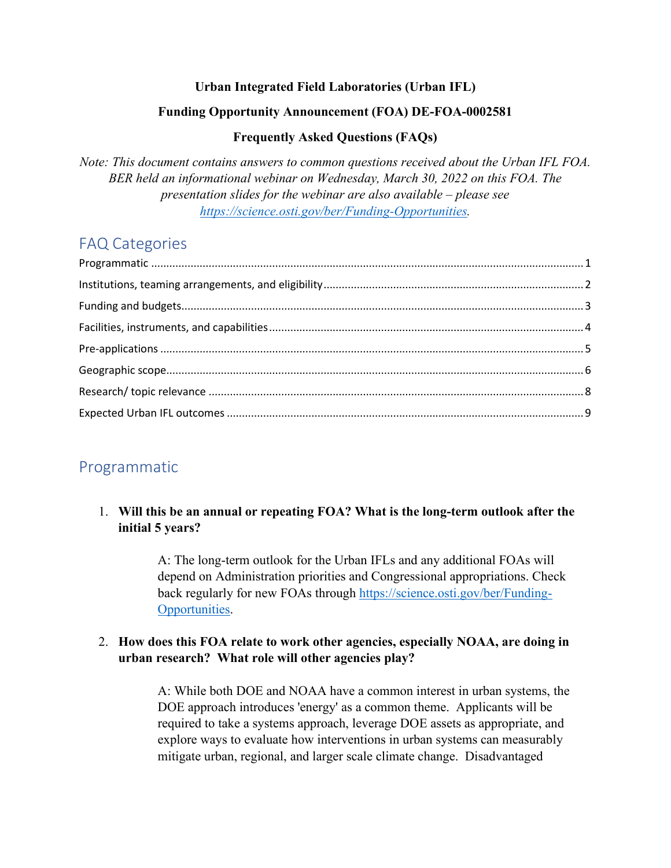#### **Urban Integrated Field Laboratories (Urban IFL)**

#### **Funding Opportunity Announcement (FOA) DE-FOA-0002581**

#### **Frequently Asked Questions (FAQs)**

*Note: This document contains answers to common questions received about the Urban IFL FOA. BER held an informational webinar on Wednesday, March 30, 2022 on this FOA. The presentation slides for the webinar are also available – please see [https://science.osti.gov/ber/Funding-Opportunities.](https://science.osti.gov/ber/Funding-Opportunities)*

#### FAQ Categories

#### <span id="page-28-0"></span>Programmatic

#### 1. **Will this be an annual or repeating FOA? What is the long-term outlook after the initial 5 years?**

A: The long-term outlook for the Urban IFLs and any additional FOAs will depend on Administration priorities and Congressional appropriations. Check back regularly for new FOAs through [https://science.osti.gov/ber/Funding-](https://science.osti.gov/ber/Funding-Opportunities)[Opportunities.](https://science.osti.gov/ber/Funding-Opportunities)

#### 2. **How does this FOA relate to work other agencies, especially NOAA, are doing in urban research? What role will other agencies play?**

A: While both DOE and NOAA have a common interest in urban systems, the DOE approach introduces 'energy' as a common theme. Applicants will be required to take a systems approach, leverage DOE assets as appropriate, and explore ways to evaluate how interventions in urban systems can measurably mitigate urban, regional, and larger scale climate change. Disadvantaged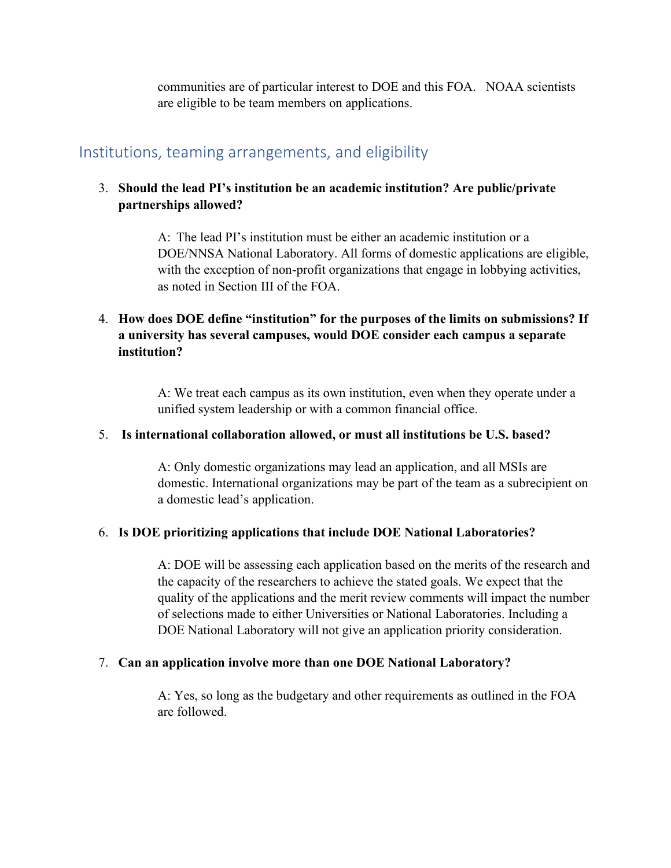communities are of particular interest to DOE and this FOA. NOAA scientists are eligible to be team members on applications.

#### <span id="page-29-0"></span>Institutions, teaming arrangements, and eligibility

#### 3. **Should the lead PI's institution be an academic institution? Are public/private partnerships allowed?**

A: The lead PI's institution must be either an academic institution or a DOE/NNSA National Laboratory. All forms of domestic applications are eligible, with the exception of non-profit organizations that engage in lobbying activities, as noted in Section III of the FOA.

#### 4. **How does DOE define "institution" for the purposes of the limits on submissions? If a university has several campuses, would DOE consider each campus a separate institution?**

A: We treat each campus as its own institution, even when they operate under a unified system leadership or with a common financial office.

#### 5. **Is international collaboration allowed, or must all institutions be U.S. based?**

A: Only domestic organizations may lead an application, and all MSIs are domestic. International organizations may be part of the team as a subrecipient on a domestic lead's application.

#### 6. **Is DOE prioritizing applications that include DOE National Laboratories?**

A: DOE will be assessing each application based on the merits of the research and the capacity of the researchers to achieve the stated goals. We expect that the quality of the applications and the merit review comments will impact the number of selections made to either Universities or National Laboratories. Including a DOE National Laboratory will not give an application priority consideration.

#### 7. **Can an application involve more than one DOE National Laboratory?**

A: Yes, so long as the budgetary and other requirements as outlined in the FOA are followed.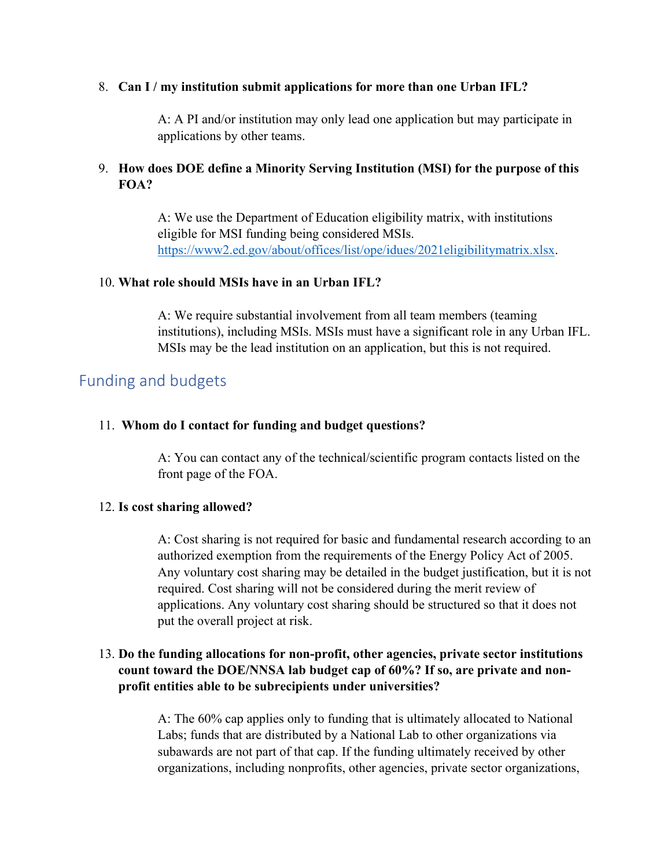#### 8. **Can I / my institution submit applications for more than one Urban IFL?**

A: A PI and/or institution may only lead one application but may participate in applications by other teams.

#### 9. **How does DOE define a Minority Serving Institution (MSI) for the purpose of this FOA?**

A: We use the Department of Education eligibility matrix, with institutions eligible for MSI funding being considered MSIs. [https://www2.ed.gov/about/offices/list/ope/idues/2021eligibilitymatrix.xlsx.](https://www2.ed.gov/about/offices/list/ope/idues/2021eligibilitymatrix.xlsx)

#### 10. **What role should MSIs have in an Urban IFL?**

A: We require substantial involvement from all team members (teaming institutions), including MSIs. MSIs must have a significant role in any Urban IFL. MSIs may be the lead institution on an application, but this is not required.

#### <span id="page-30-0"></span>Funding and budgets

#### 11. **Whom do I contact for funding and budget questions?**

A: You can contact any of the technical/scientific program contacts listed on the front page of the FOA.

#### 12. **Is cost sharing allowed?**

A: Cost sharing is not required for basic and fundamental research according to an authorized exemption from the requirements of the Energy Policy Act of 2005. Any voluntary cost sharing may be detailed in the budget justification, but it is not required. Cost sharing will not be considered during the merit review of applications. Any voluntary cost sharing should be structured so that it does not put the overall project at risk.

#### 13. **Do the funding allocations for non-profit, other agencies, private sector institutions count toward the DOE/NNSA lab budget cap of 60%? If so, are private and nonprofit entities able to be subrecipients under universities?**

A: The 60% cap applies only to funding that is ultimately allocated to National Labs; funds that are distributed by a National Lab to other organizations via subawards are not part of that cap. If the funding ultimately received by other organizations, including nonprofits, other agencies, private sector organizations,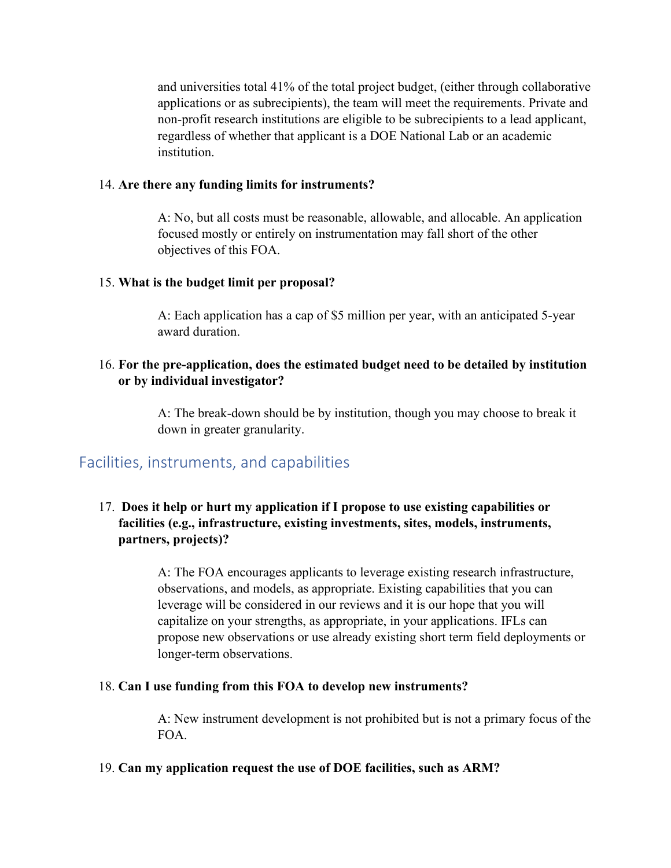and universities total 41% of the total project budget, (either through collaborative applications or as subrecipients), the team will meet the requirements. Private and non-profit research institutions are eligible to be subrecipients to a lead applicant, regardless of whether that applicant is a DOE National Lab or an academic institution.

#### 14. **Are there any funding limits for instruments?**

A: No, but all costs must be reasonable, allowable, and allocable. An application focused mostly or entirely on instrumentation may fall short of the other objectives of this FOA.

#### 15. **What is the budget limit per proposal?**

A: Each application has a cap of \$5 million per year, with an anticipated 5-year award duration.

#### 16. **For the pre-application, does the estimated budget need to be detailed by institution or by individual investigator?**

A: The break-down should be by institution, though you may choose to break it down in greater granularity.

#### <span id="page-31-0"></span>Facilities, instruments, and capabilities

#### 17. **Does it help or hurt my application if I propose to use existing capabilities or facilities (e.g., infrastructure, existing investments, sites, models, instruments, partners, projects)?**

A: The FOA encourages applicants to leverage existing research infrastructure, observations, and models, as appropriate. Existing capabilities that you can leverage will be considered in our reviews and it is our hope that you will capitalize on your strengths, as appropriate, in your applications. IFLs can propose new observations or use already existing short term field deployments or longer-term observations.

#### 18. **Can I use funding from this FOA to develop new instruments?**

A: New instrument development is not prohibited but is not a primary focus of the FOA.

#### 19. **Can my application request the use of DOE facilities, such as ARM?**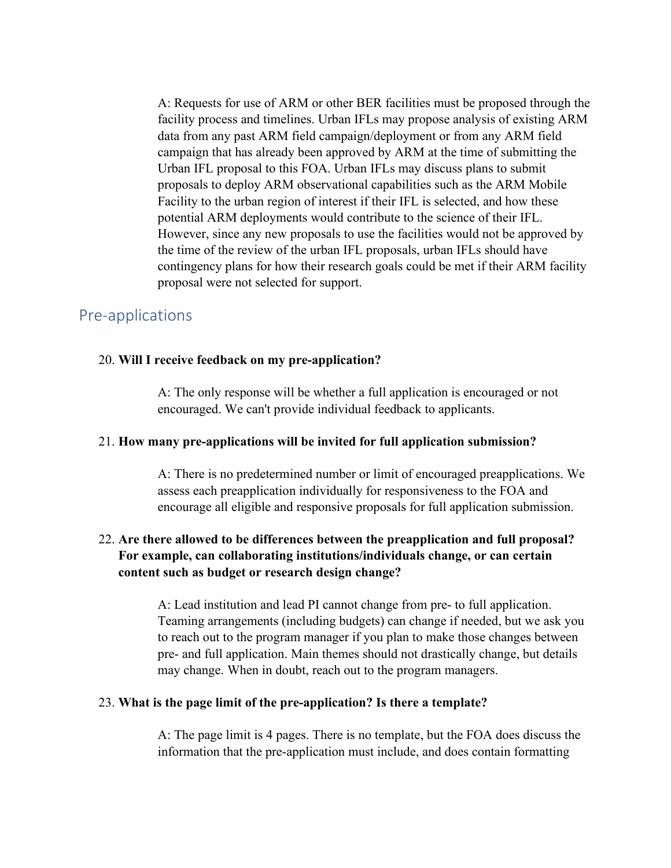A: Requests for use of ARM or other BER facilities must be proposed through the facility process and timelines. Urban IFLs may propose analysis of existing ARM data from any past ARM field campaign/deployment or from any ARM field campaign that has already been approved by ARM at the time of submitting the Urban IFL proposal to this FOA. Urban IFLs may discuss plans to submit proposals to deploy ARM observational capabilities such as the ARM Mobile Facility to the urban region of interest if their IFL is selected, and how these potential ARM deployments would contribute to the science of their IFL. However, since any new proposals to use the facilities would not be approved by the time of the review of the urban IFL proposals, urban IFLs should have contingency plans for how their research goals could be met if their ARM facility proposal were not selected for support.

#### <span id="page-32-0"></span>Pre-applications

#### 20. **Will I receive feedback on my pre-application?**

A: The only response will be whether a full application is encouraged or not encouraged. We can't provide individual feedback to applicants.

#### 21. **How many pre-applications will be invited for full application submission?**

A: There is no predetermined number or limit of encouraged preapplications. We assess each preapplication individually for responsiveness to the FOA and encourage all eligible and responsive proposals for full application submission.

#### 22. **Are there allowed to be differences between the preapplication and full proposal? For example, can collaborating institutions/individuals change, or can certain content such as budget or research design change?**

A: Lead institution and lead PI cannot change from pre- to full application. Teaming arrangements (including budgets) can change if needed, but we ask you to reach out to the program manager if you plan to make those changes between pre- and full application. Main themes should not drastically change, but details may change. When in doubt, reach out to the program managers.

#### 23. **What is the page limit of the pre-application? Is there a template?**

A: The page limit is 4 pages. There is no template, but the FOA does discuss the information that the pre-application must include, and does contain formatting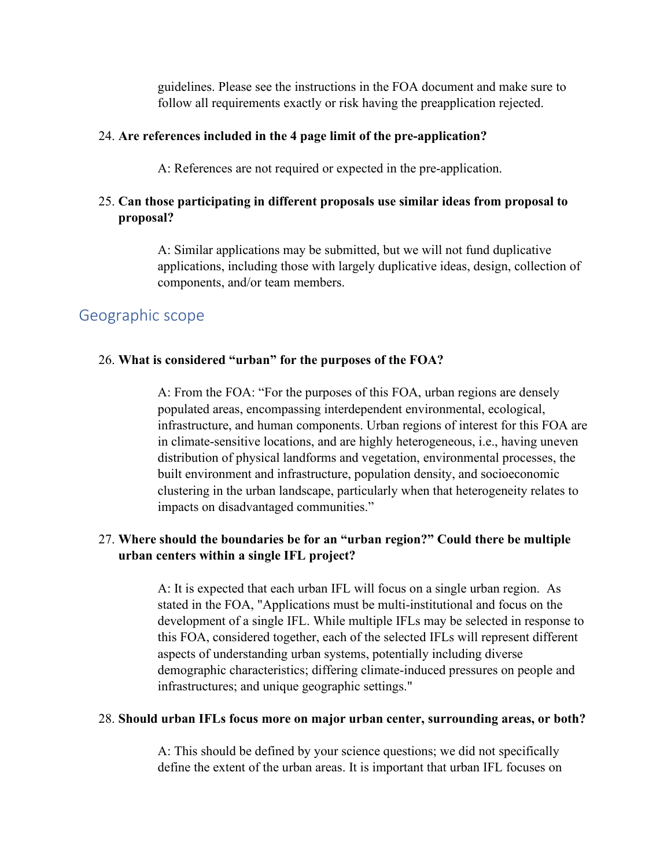guidelines. Please see the instructions in the FOA document and make sure to follow all requirements exactly or risk having the preapplication rejected.

#### 24. **Are references included in the 4 page limit of the pre-application?**

A: References are not required or expected in the pre-application.

#### 25. **Can those participating in different proposals use similar ideas from proposal to proposal?**

A: Similar applications may be submitted, but we will not fund duplicative applications, including those with largely duplicative ideas, design, collection of components, and/or team members.

#### <span id="page-33-0"></span>Geographic scope

#### 26. **What is considered "urban" for the purposes of the FOA?**

A: From the FOA: "For the purposes of this FOA, urban regions are densely populated areas, encompassing interdependent environmental, ecological, infrastructure, and human components. Urban regions of interest for this FOA are in climate-sensitive locations, and are highly heterogeneous, i.e., having uneven distribution of physical landforms and vegetation, environmental processes, the built environment and infrastructure, population density, and socioeconomic clustering in the urban landscape, particularly when that heterogeneity relates to impacts on disadvantaged communities."

#### 27. **Where should the boundaries be for an "urban region?" Could there be multiple urban centers within a single IFL project?**

A: It is expected that each urban IFL will focus on a single urban region. As stated in the FOA, "Applications must be multi-institutional and focus on the development of a single IFL. While multiple IFLs may be selected in response to this FOA, considered together, each of the selected IFLs will represent different aspects of understanding urban systems, potentially including diverse demographic characteristics; differing climate-induced pressures on people and infrastructures; and unique geographic settings."

#### 28. **Should urban IFLs focus more on major urban center, surrounding areas, or both?**

A: This should be defined by your science questions; we did not specifically define the extent of the urban areas. It is important that urban IFL focuses on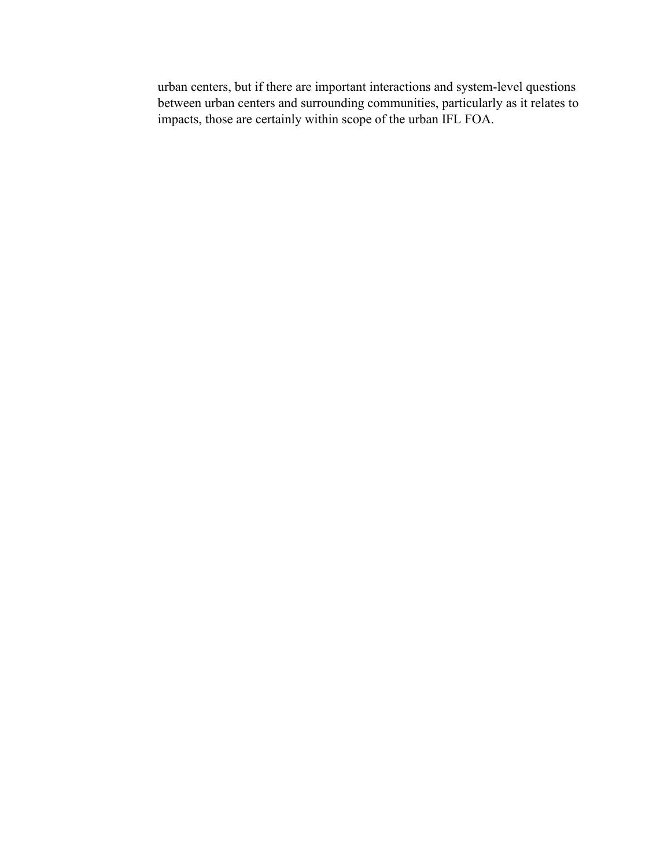urban centers, but if there are important interactions and system-level questions between urban centers and surrounding communities, particularly as it relates to impacts, those are certainly within scope of the urban IFL FOA.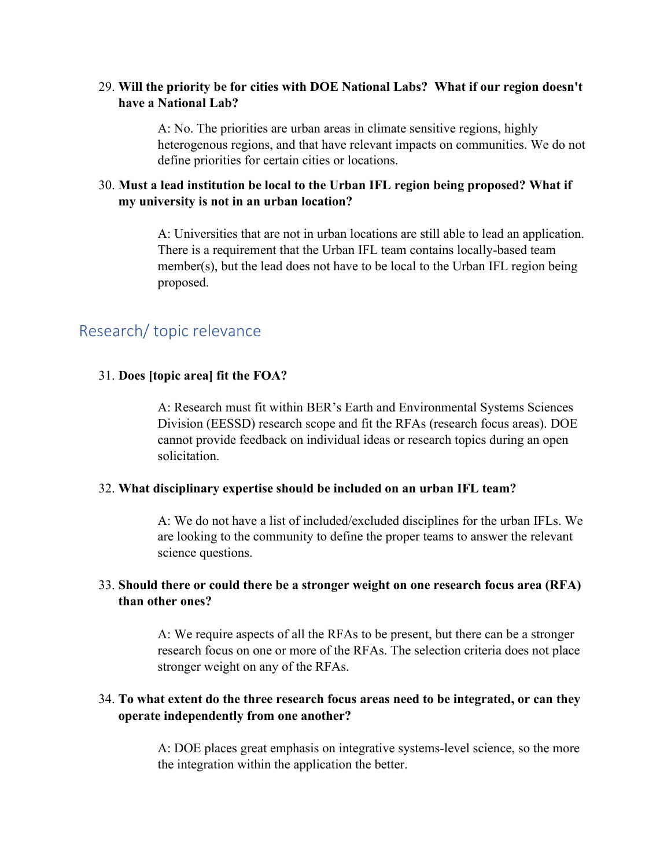#### 29. **Will the priority be for cities with DOE National Labs? What if our region doesn't have a National Lab?**

A: No. The priorities are urban areas in climate sensitive regions, highly heterogenous regions, and that have relevant impacts on communities. We do not define priorities for certain cities or locations.

#### 30. **Must a lead institution be local to the Urban IFL region being proposed? What if my university is not in an urban location?**

A: Universities that are not in urban locations are still able to lead an application. There is a requirement that the Urban IFL team contains locally-based team member(s), but the lead does not have to be local to the Urban IFL region being proposed.

#### <span id="page-35-0"></span>Research/ topic relevance

#### 31. **Does [topic area] fit the FOA?**

A: Research must fit within BER's Earth and Environmental Systems Sciences Division (EESSD) research scope and fit the RFAs (research focus areas). DOE cannot provide feedback on individual ideas or research topics during an open solicitation.

#### 32. **What disciplinary expertise should be included on an urban IFL team?**

A: We do not have a list of included/excluded disciplines for the urban IFLs. We are looking to the community to define the proper teams to answer the relevant science questions.

#### 33. **Should there or could there be a stronger weight on one research focus area (RFA) than other ones?**

A: We require aspects of all the RFAs to be present, but there can be a stronger research focus on one or more of the RFAs. The selection criteria does not place stronger weight on any of the RFAs.

#### 34. **To what extent do the three research focus areas need to be integrated, or can they operate independently from one another?**

A: DOE places great emphasis on integrative systems-level science, so the more the integration within the application the better.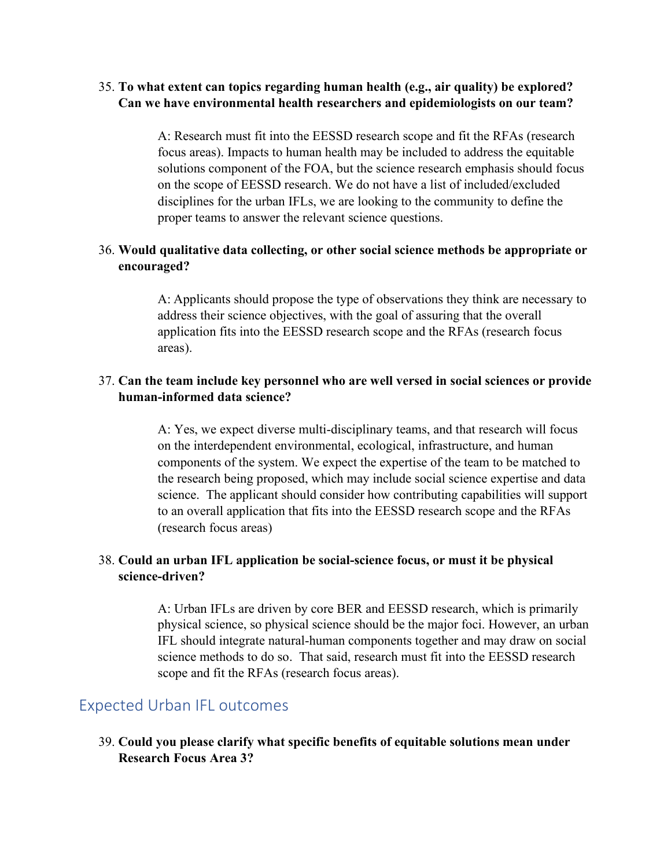#### 35. **To what extent can topics regarding human health (e.g., air quality) be explored? Can we have environmental health researchers and epidemiologists on our team?**

A: Research must fit into the EESSD research scope and fit the RFAs (research focus areas). Impacts to human health may be included to address the equitable solutions component of the FOA, but the science research emphasis should focus on the scope of EESSD research. We do not have a list of included/excluded disciplines for the urban IFLs, we are looking to the community to define the proper teams to answer the relevant science questions.

#### 36. **Would qualitative data collecting, or other social science methods be appropriate or encouraged?**

A: Applicants should propose the type of observations they think are necessary to address their science objectives, with the goal of assuring that the overall application fits into the EESSD research scope and the RFAs (research focus areas).

#### 37. **Can the team include key personnel who are well versed in social sciences or provide human-informed data science?**

A: Yes, we expect diverse multi-disciplinary teams, and that research will focus on the interdependent environmental, ecological, infrastructure, and human components of the system. We expect the expertise of the team to be matched to the research being proposed, which may include social science expertise and data science. The applicant should consider how contributing capabilities will support to an overall application that fits into the EESSD research scope and the RFAs (research focus areas)

#### 38. **Could an urban IFL application be social-science focus, or must it be physical science-driven?**

A: Urban IFLs are driven by core BER and EESSD research, which is primarily physical science, so physical science should be the major foci. However, an urban IFL should integrate natural-human components together and may draw on social science methods to do so. That said, research must fit into the EESSD research scope and fit the RFAs (research focus areas).

#### <span id="page-36-0"></span>Expected Urban IFL outcomes

39. **Could you please clarify what specific benefits of equitable solutions mean under Research Focus Area 3?**